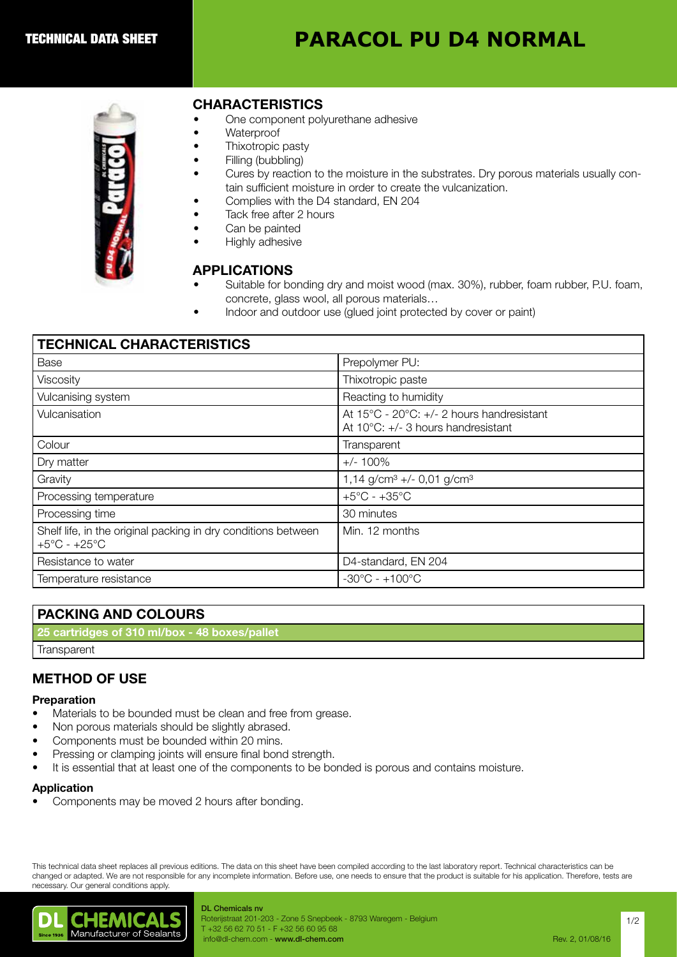# **PARACOL PU D4 NORMAL**



### CHARACTERISTICS

- One component polyurethane adhesive
- Waterproof
- Thixotropic pasty
- Filling (bubbling)
- Cures by reaction to the moisture in the substrates. Dry porous materials usually contain sufficient moisture in order to create the vulcanization.
- Complies with the D4 standard, EN 204
- Tack free after 2 hours
- Can be painted
- Highly adhesive

# APPLICATIONS

- Suitable for bonding dry and moist wood (max. 30%), rubber, foam rubber, P.U. foam, concrete, glass wool, all porous materials…
- Indoor and outdoor use (glued joint protected by cover or paint)

| <b>TECHNICAL CHARACTERISTICS</b>                                                                  |                                                                                             |
|---------------------------------------------------------------------------------------------------|---------------------------------------------------------------------------------------------|
| Base                                                                                              | Prepolymer PU:                                                                              |
| Viscosity                                                                                         | Thixotropic paste                                                                           |
| Vulcanising system                                                                                | Reacting to humidity                                                                        |
| Vulcanisation                                                                                     | At 15°C - 20°C: +/- 2 hours handresistant<br>At $10^{\circ}$ C: $+/-$ 3 hours handresistant |
| Colour                                                                                            | Transparent                                                                                 |
| Dry matter                                                                                        | $+/- 100\%$                                                                                 |
| Gravity                                                                                           | 1,14 g/cm <sup>3</sup> +/- 0,01 g/cm <sup>3</sup>                                           |
| Processing temperature                                                                            | $+5^{\circ}$ C - $+35^{\circ}$ C                                                            |
| Processing time                                                                                   | 30 minutes                                                                                  |
| Shelf life, in the original packing in dry conditions between<br>$+5^{\circ}$ C - $+25^{\circ}$ C | Min. 12 months                                                                              |
| Resistance to water                                                                               | D4-standard, EN 204                                                                         |
| Temperature resistance                                                                            | $-30^{\circ}$ C - $+100^{\circ}$ C                                                          |

### PACKING AND COLOURS

25 cartridges of 310 ml/box - 48 boxes/pallet

**Transparent** 

# METHOD OF USE

#### Preparation

- Materials to be bounded must be clean and free from grease.
- Non porous materials should be slightly abrased.
- Components must be bounded within 20 mins.
- Pressing or clamping joints will ensure final bond strength.
- It is essential that at least one of the components to be bonded is porous and contains moisture.

#### Application

• Components may be moved 2 hours after bonding.

This technical data sheet replaces all previous editions. The data on this sheet have been compiled according to the last laboratory report. Technical characteristics can be changed or adapted. We are not responsible for any incomplete information. Before use, one needs to ensure that the product is suitable for his application. Therefore, tests are necessary. Our general conditions apply.



DL Chemicals nv Roterijstraat 201-203 - Zone 5 Snepbeek - 8793 Waregem - Belgium T +32 56 62 70 51 - F +32 56 60 95 68 info@dl-chem.com - www.dl-chem.com **Rev. 2, 01/08/16** and Rev. 2, 01/08/16